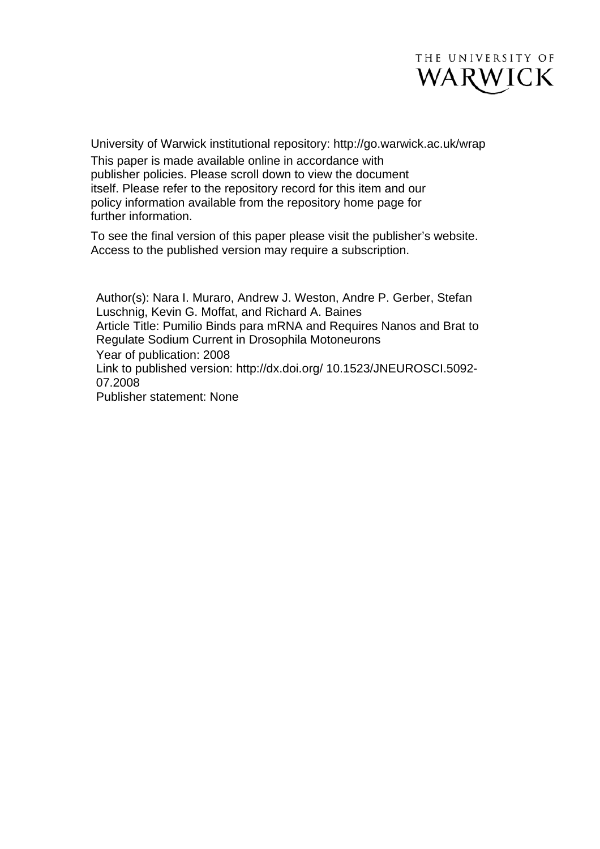

University of Warwick institutional repository: <http://go.warwick.ac.uk/wrap> This paper is made available online in accordance with publisher policies. Please scroll down to view the document itself. Please refer to the repository record for this item and our policy information available from the repository home page for further information.

To see the final version of this paper please visit the publisher's website. Access to the published version may require a subscription.

Author(s): Nara I. Muraro, Andrew J. Weston, Andre P. Gerber, Stefan Luschnig, Kevin G. Moffat, and Richard A. Baines Article Title: Pumilio Binds para mRNA and Requires Nanos and Brat to Regulate Sodium Current in Drosophila Motoneurons Year of publication: 2008 Link to published version: http://dx.doi.org/ 10.1523/JNEUROSCI.5092- 07.2008 Publisher statement: None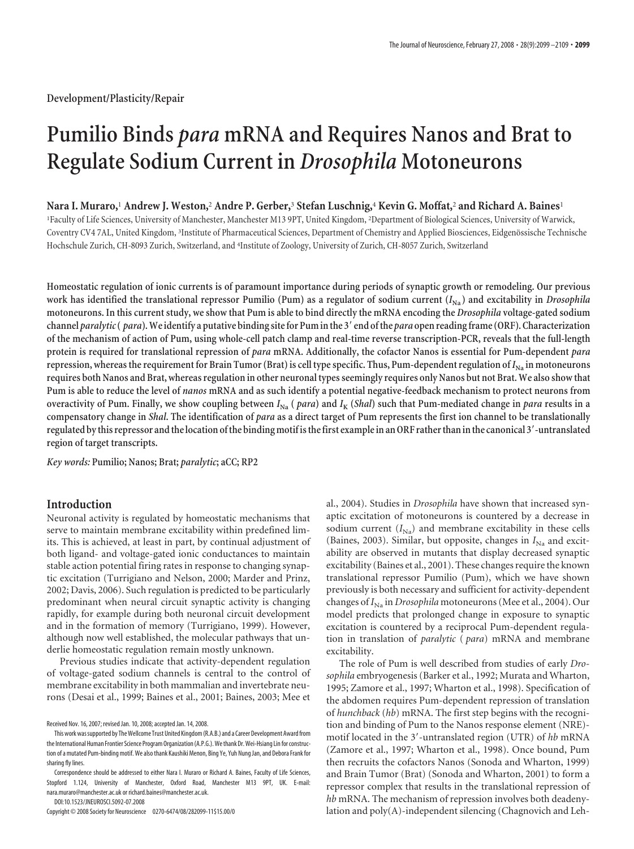**Development/Plasticity/Repair**

# **Pumilio Binds** *para* **mRNA and Requires Nanos and Brat to Regulate Sodium Current in** *Drosophila* **Motoneurons**

## **Nara I. Muraro,**<sup>1</sup> **Andrew J. Weston,**<sup>2</sup> **Andre P. Gerber,**<sup>3</sup> **Stefan Luschnig,**<sup>4</sup> **Kevin G. Moffat,**<sup>2</sup> **and Richard A. Baines**<sup>1</sup>

1 Faculty of Life Sciences, University of Manchester, Manchester M13 9PT, United Kingdom, <sup>2</sup> Department of Biological Sciences, University of Warwick, Coventry CV4 7AL, United Kingdom, <sup>3</sup>Institute of Pharmaceutical Sciences, Department of Chemistry and Applied Biosciences, Eidgenössische Technische Hochschule Zurich, CH-8093 Zurich, Switzerland, and <sup>4</sup> Institute of Zoology, University of Zurich, CH-8057 Zurich, Switzerland

**Homeostatic regulation of ionic currents is of paramount importance during periods of synaptic growth or remodeling. Our previous** work has identified the translational repressor Pumilio (Pum) as a regulator of sodium current  $(I_{Na})$  and excitability in *Drosophila* **motoneurons. In this current study, we show that Pum is able to bind directly the mRNA encoding the** *Drosophila* **voltage-gated sodium channel** *paralytic***(** *para***).We identify a putative binding sitefor Pum inthe 3 end ofthe** *para* **open readingframe (ORF). Characterization of the mechanism of action of Pum, using whole-cell patch clamp and real-time reverse transcription-PCR, reveals that the full-length protein is required for translational repression of** *para* **mRNA. Additionally, the cofactor Nanos is essential for Pum-dependent** *para* **repression, whereas the requirement for Brain Tumor (Brat) is cell type specific. Thus, Pum-dependent regulation of**  $I_{\text{Na}}$  **in motoneurons requires both Nanos and Brat, whereas regulation in other neuronal types seemingly requires only Nanos but not Brat. We also show that Pum is able to reduce the level of** *nanos* **mRNA and as such identify a potential negative-feedback mechanism to protect neurons from overactivity of Pum. Finally, we show coupling between**  $I_{\text{Na}}$  (*para*) and  $I_{\text{K}}$  (*Shal*) such that Pum-mediated change in *para* results in a **compensatory change in** *Shal***. The identification of** *para* **as a direct target of Pum represents the first ion channel to be translationally regulated bythis repressor andthe location ofthe bindingmotifisthefirst examplein an ORF ratherthaninthe canonical 3-untranslated region of target transcripts.**

*Key words:* **Pumilio; Nanos; Brat;** *paralytic***; aCC; RP2**

# **Introduction**

Neuronal activity is regulated by homeostatic mechanisms that serve to maintain membrane excitability within predefined limits. This is achieved, at least in part, by continual adjustment of both ligand- and voltage-gated ionic conductances to maintain stable action potential firing rates in response to changing synaptic excitation (Turrigiano and Nelson, 2000; Marder and Prinz, 2002; Davis, 2006). Such regulation is predicted to be particularly predominant when neural circuit synaptic activity is changing rapidly, for example during both neuronal circuit development and in the formation of memory (Turrigiano, 1999). However, although now well established, the molecular pathways that underlie homeostatic regulation remain mostly unknown.

Previous studies indicate that activity-dependent regulation of voltage-gated sodium channels is central to the control of membrane excitability in both mammalian and invertebrate neurons (Desai et al., 1999; Baines et al., 2001; Baines, 2003; Mee et

Correspondence should be addressed to either Nara I. Muraro or Richard A. Baines, Faculty of Life Sciences, Stopford 1.124, University of Manchester, Oxford Road, Manchester M13 9PT, UK. E-mail: nara.muraro@manchester.ac.uk or richard.baines@manchester.ac.uk.

DOI:10.1523/JNEUROSCI.5092-07.2008

Copyright © 2008 Society for Neuroscience 0270-6474/08/282099-11\$15.00/0

al., 2004). Studies in *Drosophila* have shown that increased synaptic excitation of motoneurons is countered by a decrease in sodium current  $(I_{\text{Na}})$  and membrane excitability in these cells (Baines, 2003). Similar, but opposite, changes in  $I_{\text{Na}}$  and excitability are observed in mutants that display decreased synaptic excitability (Baines et al., 2001). These changes require the known translational repressor Pumilio (Pum), which we have shown previously is both necessary and sufficient for activity-dependent changes of *I*Na in *Drosophila* motoneurons (Mee et al., 2004). Our model predicts that prolonged change in exposure to synaptic excitation is countered by a reciprocal Pum-dependent regulation in translation of *paralytic* ( *para*) mRNA and membrane excitability.

The role of Pum is well described from studies of early *Drosophila* embryogenesis (Barker et al., 1992; Murata and Wharton, 1995; Zamore et al., 1997; Wharton et al., 1998). Specification of the abdomen requires Pum-dependent repression of translation of *hunchback* (*hb*) mRNA. The first step begins with the recognition and binding of Pum to the Nanos response element (NRE) motif located in the 3-untranslated region (UTR) of *hb* mRNA (Zamore et al., 1997; Wharton et al., 1998). Once bound, Pum then recruits the cofactors Nanos (Sonoda and Wharton, 1999) and Brain Tumor (Brat) (Sonoda and Wharton, 2001) to form a repressor complex that results in the translational repression of *hb* mRNA. The mechanism of repression involves both deadenylation and poly(A)-independent silencing (Chagnovich and Leh-

Received Nov. 16, 2007; revised Jan. 10, 2008; accepted Jan. 14, 2008.

This work wassupported by TheWellcome Trust United Kingdom(R.A.B.) and a Career Development Award from the International Human Frontier Science Program Organization(A.P.G.).Wethank Dr.Wei-Hsiang Lin for construction of a mutated Pum-binding motif. We also thank Kaushiki Menon, Bing Ye, Yuh Nung Jan, and Debora Frank for sharing fly lines.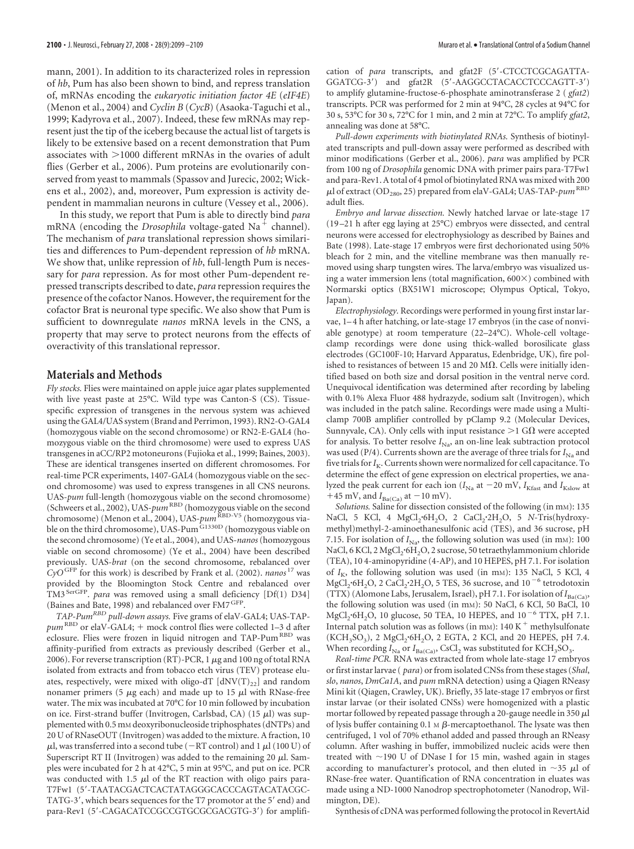mann, 2001). In addition to its characterized roles in repression of *hb*, Pum has also been shown to bind, and repress translation of, mRNAs encoding the *eukaryotic initiation factor 4E* (*eIF4E*) (Menon et al., 2004) and *Cyclin B* (*CycB*) (Asaoka-Taguchi et al., 1999; Kadyrova et al., 2007). Indeed, these few mRNAs may represent just the tip of the iceberg because the actual list of targets is likely to be extensive based on a recent demonstration that Pum associates with  $>$ 1000 different mRNAs in the ovaries of adult flies (Gerber et al., 2006). Pum proteins are evolutionarily conserved from yeast to mammals (Spassov and Jurecic, 2002; Wickens et al., 2002), and, moreover, Pum expression is activity dependent in mammalian neurons in culture (Vessey et al., 2006).

In this study, we report that Pum is able to directly bind *para* mRNA (encoding the *Drosophila* voltage-gated Na<sup>+</sup> channel). The mechanism of *para* translational repression shows similarities and differences to Pum-dependent repression of *hb* mRNA. We show that, unlike repression of *hb*, full-length Pum is necessary for *para* repression. As for most other Pum-dependent repressed transcripts described to date, *para* repression requires the presence of the cofactor Nanos. However, the requirement for the cofactor Brat is neuronal type specific. We also show that Pum is sufficient to downregulate *nanos* mRNA levels in the CNS, a property that may serve to protect neurons from the effects of overactivity of this translational repressor.

## **Materials and Methods**

*Fly stocks.* Flies were maintained on apple juice agar plates supplemented with live yeast paste at 25°C. Wild type was Canton-S (CS). Tissuespecific expression of transgenes in the nervous system was achieved using the GAL4/UAS system (Brand and Perrimon, 1993). RN2-O-GAL4 (homozygous viable on the second chromosome) or RN2-E-GAL4 (homozygous viable on the third chromosome) were used to express UAS transgenes in aCC/RP2 motoneurons (Fujioka et al., 1999; Baines, 2003). These are identical transgenes inserted on different chromosomes. For real-time PCR experiments, 1407-GAL4 (homozygous viable on the second chromosome) was used to express transgenes in all CNS neurons. UAS-*pum* full-length (homozygous viable on the second chromosome) (Schweers et al., 2002), UAS-*pum*RBD (homozygous viable on the second chromosome) (Menon et al., 2004), UAS- $\mu$ m<sup>RBD-V5</sup> (homozygous viable on the third chromosome), UAS-Pum $\frac{G1330D}{D}$  (homozygous viable on the second chromosome) (Ye et al., 2004), and UAS-*nanos*(homozygous viable on second chromosome) (Ye et al., 2004) have been described previously. UAS-*brat* (on the second chromosome, rebalanced over *CyO*GFP for this work) is described by Frank et al. (2002). *nanos* <sup>17</sup> was provided by the Bloomington Stock Centre and rebalanced over TM3SerGFP. *para* was removed using a small deficiency [Df(1) D34] (Baines and Bate, 1998) and rebalanced over FM7 GFP.

*TAP-PumRBD pull-down assays.* Five grams of elaV-GAL4; UAS-TAP*pum*<sup>RBD</sup> or elaV-GAL4; + mock control flies were collected 1-3 d after eclosure. Flies were frozen in liquid nitrogen and TAP-Pum<sup>RBD</sup> was affinity-purified from extracts as previously described (Gerber et al., 2006). For reverse transcription (RT)-PCR, 1  $\mu$ g and 100 ng of total RNA isolated from extracts and from tobacco etch virus (TEV) protease eluates, respectively, were mixed with oligo-dT  $[dNV(T)_{22}]$  and random nonamer primers (5  $\mu$ g each) and made up to 15  $\mu$ l with RNase-free water. The mix was incubated at 70°C for 10 min followed by incubation on ice. First-strand buffer (Invitrogen, Carlsbad, CA) (15  $\mu$ l) was supplemented with 0.5 mM deoxyribonucleoside triphosphates (dNTPs) and 20 U of RNaseOUT (Invitrogen) was added to the mixture. A fraction, 10  $\mu$ l, was transferred into a second tube (-RT control) and 1  $\mu$ l (100 U) of Superscript RT II (Invitrogen) was added to the remaining 20  $\mu$ l. Samples were incubated for 2 h at 42°C, 5 min at 95°C, and put on ice. PCR was conducted with 1.5  $\mu$ l of the RT reaction with oligo pairs para-T7Fw1 (5-TAATACGACTCACTATAGGGCACCCAGTACATACGC-TATG-3', which bears sequences for the T7 promotor at the 5' end) and para-Rev1 (5'-CAGACATCCGCCGTGCGCGACGTG-3') for amplification of *para* transcripts, and gfat2F (5'-CTCCTCGCAGATTA-GGATCG-3) and gfat2R (5-AAGGCCTACACCTCCCAGTT-3) to amplify glutamine-fructose-6-phosphate aminotransferase 2 ( *gfat2*) transcripts. PCR was performed for 2 min at 94°C, 28 cycles at 94°C for 30 s, 53°C for 30 s, 72°C for 1 min, and 2 min at 72°C. To amplify *gfat2*, annealing was done at 58°C.

*Pull-down experiments with biotinylated RNAs.* Synthesis of biotinylated transcripts and pull-down assay were performed as described with minor modifications (Gerber et al., 2006). *para* was amplified by PCR from 100 ng of *Drosophila* genomic DNA with primer pairs para-T7Fw1 and para-Rev1. A total of 4 pmol of biotinylated RNA was mixed with 200  $\mu$ l of extract (OD<sub>280</sub>, 25) prepared from elaV-GAL4; UAS-TAP- $\mu$ <sub>m</sub> RBD adult flies.

*Embryo and larvae dissection.* Newly hatched larvae or late-stage 17 (19 –21 h after egg laying at 25°C) embryos were dissected, and central neurons were accessed for electrophysiology as described by Baines and Bate (1998). Late-stage 17 embryos were first dechorionated using 50% bleach for 2 min, and the vitelline membrane was then manually removed using sharp tungsten wires. The larva/embryo was visualized using a water immersion lens (total magnification,  $600 \times$ ) combined with Normarski optics (BX51W1 microscope; Olympus Optical, Tokyo, Japan).

*Electrophysiology.* Recordings were performed in young first instar larvae, 1– 4 h after hatching, or late-stage 17 embryos (in the case of nonviable genotype) at room temperature (22–24°C). Whole-cell voltageclamp recordings were done using thick-walled borosilicate glass electrodes (GC100F-10; Harvard Apparatus, Edenbridge, UK), fire polished to resistances of between 15 and 20 M $\Omega$ . Cells were initially identified based on both size and dorsal position in the ventral nerve cord. Unequivocal identification was determined after recording by labeling with 0.1% Alexa Fluor 488 hydrazyde, sodium salt (Invitrogen), which was included in the patch saline. Recordings were made using a Multiclamp 700B amplifier controlled by pClamp 9.2 (Molecular Devices, Sunnyvale, CA). Only cells with input resistance  $>$  1 G $\Omega$  were accepted for analysis. To better resolve  $I_{\text{Na}}$ , an on-line leak subtraction protocol was used (P/4). Currents shown are the average of three trials for  $I_{\text{Na}}$  and five trials for  $I_K$ . Currents shown were normalized for cell capacitance. To determine the effect of gene expression on electrical properties, we analyzed the peak current for each ion  $(I_{\text{Na}}$  at  $-20$  mV,  $I_{\text{Kfast}}$  and  $I_{\text{Kslow}}$  at  $+45$  mV, and  $I_{Ba(Ca)}$  at  $-10$  mV).

*Solutions.* Saline for dissection consisted of the following (in mM): 135 NaCl, 5 KCl, 4 MgCl<sub>2</sub>·6H<sub>2</sub>O, 2 CaCl<sub>2</sub>·2H<sub>2</sub>O, 5 *N*-Tris(hydroxymethyl)methyl-2-aminoethanesulfonic acid (TES), and 36 sucrose, pH 7.15. For isolation of  $I_{\text{Na}}$ , the following solution was used (in m<sub>M</sub>): 100 NaCl, 6 KCl, 2 MgCl, 6H<sub>2</sub>O, 2 sucrose, 50 tetraethylammonium chloride (TEA), 10 4-aminopyridine (4-AP), and 10 HEPES, pH 7.1. For isolation of  $I_K$ , the following solution was used (in m<sub>M</sub>): 135 NaCl, 5 KCl, 4  $MgCl<sub>2</sub>·6H<sub>2</sub>O$ , 2 CaCl<sub>2</sub>·2H<sub>2</sub>O, 5 TES, 36 sucrose, and 10<sup>-6</sup> tetrodotoxin  $(TTX)$  (Alomone Labs, Jerusalem, Israel), pH 7.1. For isolation of  $I_{Ba(Ca)}$ , the following solution was used (in mM): 50 NaCl, 6 KCl, 50 BaCl, 10  $\rm MgCl_2\text{-}6H_2O,$  10 glucose, 50 TEA, 10 HEPES, and 10  $^{-6}$  TTX, pH 7.1. Internal patch solution was as follows (in mM): 140 K $^+$  methylsulfonate  $(KCH<sub>3</sub>SO<sub>3</sub>)$ , 2 MgCl<sub>2</sub>·6H<sub>2</sub>O, 2 EGTA, 2 KCl, and 20 HEPES, pH 7.4. When recording  $I_{\text{Na}}$  or  $I_{\text{Ba(Ca)}}$ , CsCl<sub>2</sub> was substituted for KCH<sub>3</sub>SO<sub>3</sub>.

*Real-time PCR.* RNA was extracted from whole late-stage 17 embryos or first instar larvae ( *para*) or from isolated CNSs from these stages (*Shal*, *slo*, *nanos*, *DmCa1A*, and *pum* mRNA detection) using a Qiagen RNeasy Mini kit (Qiagen, Crawley, UK). Briefly, 35 late-stage 17 embryos or first instar larvae (or their isolated CNSs) were homogenized with a plastic mortar followed by repeated passage through a 20-gauge needle in 350  $\mu \rm l$ of lysis buffer containing  $0.1 \text{ M}$   $\beta$ -mercaptoethanol. The lysate was then centrifuged, 1 vol of 70% ethanol added and passed through an RNeasy column. After washing in buffer, immobilized nucleic acids were then treated with  $\sim$ 190 U of DNase I for 15 min, washed again in stages according to manufacturer's protocol, and then eluted in  $\sim$ 35  $\mu$ l of RNase-free water. Quantification of RNA concentration in eluates was made using a ND-1000 Nanodrop spectrophotometer (Nanodrop, Wilmington, DE).

Synthesis of cDNA was performed following the protocol in RevertAid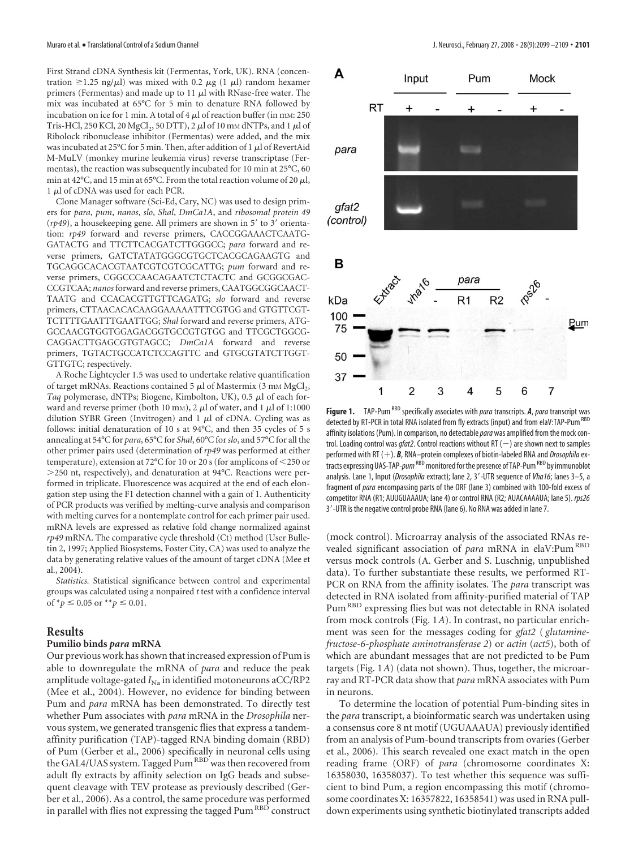First Strand cDNA Synthesis kit (Fermentas, York, UK). RNA (concentration  $\geq$ 1.25 ng/ $\mu$ l) was mixed with 0.2  $\mu$ g (1  $\mu$ l) random hexamer primers (Fermentas) and made up to 11  $\mu$ l with RNase-free water. The mix was incubated at 65°C for 5 min to denature RNA followed by incubation on ice for 1 min. A total of 4  $\mu$ l of reaction buffer (in mM: 250 Tris-HCl, 250 KCl, 20 MgCl<sub>2</sub>, 50 DTT), 2  $\mu$ l of 10 mm dNTPs, and 1  $\mu$ l of Ribolock ribonuclease inhibitor (Fermentas) were added, and the mix was incubated at 25°C for 5 min. Then, after addition of 1  $\mu$ l of RevertAid M-MuLV (monkey murine leukemia virus) reverse transcriptase (Fermentas), the reaction was subsequently incubated for 10 min at 25°C, 60 min at 42°C, and 15 min at 65°C. From the total reaction volume of 20  $\mu$ l,  $1 \mu$ l of cDNA was used for each PCR.

Clone Manager software (Sci-Ed, Cary, NC) was used to design primers for *para*, *pum*, *nanos*, *slo*, *Shal*, *DmCa1A*, and *ribosomal protein 49* (rp49), a housekeeping gene. All primers are shown in 5' to 3' orientation: *rp49* forward and reverse primers, CACCGGAAACTCAATG-GATACTG and TTCTTCACGATCTTGGGCC; *para* forward and reverse primers, GATCTATATGGGCGTGCTCACGCAGAAGTG and TGCAGGCACACGTAATCGTCGTCGCATTG; *pum* forward and reverse primers, CGGCCCAACAGAATCTCTACTC and GCGGCGAC-CCGTCAA; *nanos* forward and reverse primers, CAATGGCGGCAACT-TAATG and CCACACGTTGTTCAGATG; *slo* forward and reverse primers, CTTAACACACAAGGAAAAATTTCGTGG and GTGTTCGT-TCTTTTGAATTTGAATTGG; *Shal* forward and reverse primers, ATG-GCCAACGTGGTGGAGACGGTGCCGTGTGG and TTCGCTGGCG-CAGGACTTGAGCGTGTAGCC; *DmCa1A* forward and reverse primers, TGTACTGCCATCTCCAGTTC and GTGCGTATCTTGGT-GTTGTC; respectively.

A Roche Lightcycler 1.5 was used to undertake relative quantification of target mRNAs. Reactions contained 5  $\mu$ l of Mastermix (3 mM MgCl<sub>2</sub>, Taq polymerase, dNTPs; Biogene, Kimbolton, UK),  $0.5 \mu$ l of each forward and reverse primer (both 10 mm), 2  $\mu$ l of water, and 1  $\mu$ l of 1:1000 dilution SYBR Green (Invitrogen) and  $1 \mu l$  of cDNA. Cycling was as follows: initial denaturation of 10 s at 94°C, and then 35 cycles of 5 s annealing at 54°C for *para*, 65°C for *Shal*, 60°C for*slo*, and 57°C for all the other primer pairs used (determination of *rp49* was performed at either temperature), extension at 72°C for 10 or 20 s (for amplicons of 250 or -250 nt, respectively), and denaturation at 94°C. Reactions were performed in triplicate. Fluorescence was acquired at the end of each elongation step using the F1 detection channel with a gain of 1. Authenticity of PCR products was verified by melting-curve analysis and comparison with melting curves for a nontemplate control for each primer pair used. mRNA levels are expressed as relative fold change normalized against *rp49* mRNA. The comparative cycle threshold (Ct) method (User Bulletin 2, 1997; Applied Biosystems, Foster City, CA) was used to analyze the data by generating relative values of the amount of target cDNA (Mee et al., 2004).

*Statistics.* Statistical significance between control and experimental groups was calculated using a nonpaired *t* test with a confidence interval of  $*_{p} \leq 0.05$  or  $*_{p} \leq 0.01$ .

#### **Results**

#### **Pumilio binds** *para* **mRNA**

Our previous work has shown that increased expression of Pum is able to downregulate the mRNA of *para* and reduce the peak amplitude voltage-gated  $I_{\text{Na}}$  in identified motoneurons aCC/RP2 (Mee et al., 2004). However, no evidence for binding between Pum and *para* mRNA has been demonstrated. To directly test whether Pum associates with *para* mRNA in the *Drosophila* nervous system, we generated transgenic flies that express a tandemaffinity purification (TAP)-tagged RNA binding domain (RBD) of Pum (Gerber et al., 2006) specifically in neuronal cells using the GAL4/UAS system. Tagged Pum<sup>RBD</sup> was then recovered from adult fly extracts by affinity selection on IgG beads and subsequent cleavage with TEV protease as previously described (Gerber et al., 2006). As a control, the same procedure was performed in parallel with flies not expressing the tagged Pum  $^{\mathtt{RBD}}$  construct



Figure 1. TAP-Pum<sup>RBD</sup> specifically associates with *para* transcripts. A, *para* transcript was detected by RT-PCR in total RNA isolated from fly extracts (input) and from elaV:TAP-Pum<sup>RBD</sup> affinity isolations (Pum). In comparison, no detectable*para* was amplified from the mock control. Loading control was *gfat2*. Control reactions without RT  $(-)$  are shown next to samples performed with RT (+). **B**, RNA–protein complexes of biotin-labeled RNA and *Drosophila* extracts expressing UAS-TAP-*pum*<sup>RBD</sup> monitored for the presence of TAP-Pum<sup>RBD</sup> by immunoblot analysis. Lane 1, Input (*Drosophila* extract); lane 2, 3-UTR sequence of *Vha16*; lanes 3–5, a fragment of *para* encompassing parts of the ORF (lane 3) combined with 100-fold excess of competitor RNA (R1; AUUGUAAAUA; lane 4) or control RNA (R2; AUACAAAAUA; lane 5). *rps26* 3-UTR is the negative control probe RNA (lane 6). No RNA was added in lane 7.

(mock control). Microarray analysis of the associated RNAs revealed significant association of *para* mRNA in elaV:Pum<sup>RBD</sup> versus mock controls (A. Gerber and S. Luschnig, unpublished data). To further substantiate these results, we performed RT-PCR on RNA from the affinity isolates. The *para* transcript was detected in RNA isolated from affinity-purified material of TAP Pum<sup>RBD</sup> expressing flies but was not detectable in RNA isolated from mock controls (Fig. 1*A*). In contrast, no particular enrichment was seen for the messages coding for *gfat2* ( *glutaminefructose-6-phosphate aminotransferase 2*) or *actin* (*act5*), both of which are abundant messages that are not predicted to be Pum targets (Fig. 1*A*) (data not shown). Thus, together, the microarray and RT-PCR data show that *para* mRNA associates with Pum in neurons.

To determine the location of potential Pum-binding sites in the *para* transcript, a bioinformatic search was undertaken using a consensus core 8 nt motif (UGUAAAUA) previously identified from an analysis of Pum-bound transcripts from ovaries (Gerber et al., 2006). This search revealed one exact match in the open reading frame (ORF) of *para* (chromosome coordinates X: 16358030, 16358037). To test whether this sequence was sufficient to bind Pum, a region encompassing this motif (chromosome coordinates X: 16357822, 16358541) was used in RNA pulldown experiments using synthetic biotinylated transcripts added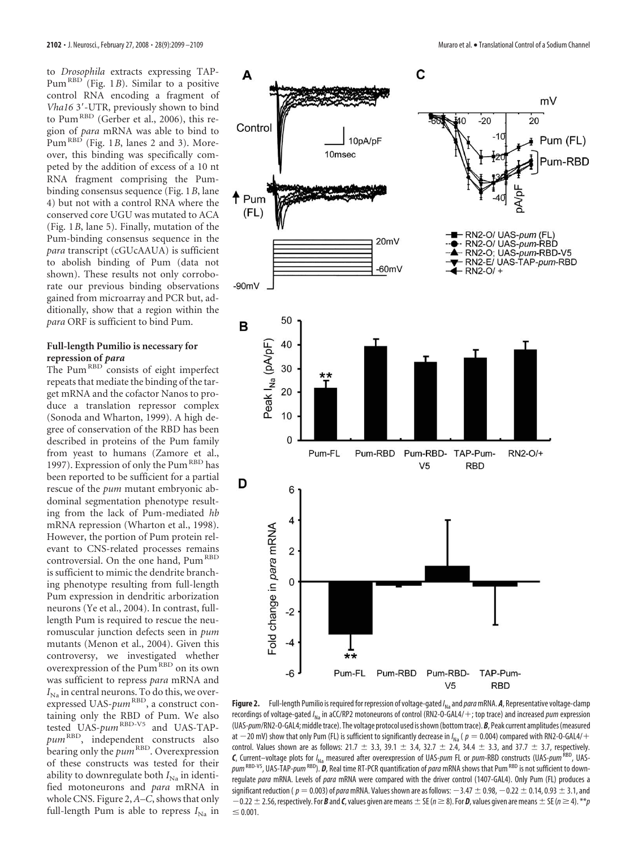to *Drosophila* extracts expressing TAP-Pum<sup>RBD</sup> (Fig. 1*B*). Similar to a positive control RNA encoding a fragment of *Vha16* 3-UTR, previously shown to bind to Pum<sup>RBD</sup> (Gerber et al., 2006), this region of *para* mRNA was able to bind to  $Pum^{RBD}$  (Fig. 1*B*, lanes 2 and 3). Moreover, this binding was specifically competed by the addition of excess of a 10 nt RNA fragment comprising the Pumbinding consensus sequence (Fig. 1*B*, lane 4) but not with a control RNA where the conserved core UGU was mutated to ACA (Fig. 1*B*, lane 5). Finally, mutation of the Pum-binding consensus sequence in the *para* transcript (cGUcAAUA) is sufficient to abolish binding of Pum (data not shown). These results not only corroborate our previous binding observations gained from microarray and PCR but, additionally, show that a region within the *para* ORF is sufficient to bind Pum.

# **Full-length Pumilio is necessary for repression of** *para*

The Pum<sup>RBD</sup> consists of eight imperfect repeats that mediate the binding of the target mRNA and the cofactor Nanos to produce a translation repressor complex (Sonoda and Wharton, 1999). A high degree of conservation of the RBD has been described in proteins of the Pum family from yeast to humans (Zamore et al., 1997). Expression of only the Pum<sup>RBD</sup> has been reported to be sufficient for a partial rescue of the *pum* mutant embryonic abdominal segmentation phenotype resulting from the lack of Pum-mediated *hb* mRNA repression (Wharton et al., 1998). However, the portion of Pum protein relevant to CNS-related processes remains controversial. On the one hand, Pum<sup>RBD</sup> is sufficient to mimic the dendrite branching phenotype resulting from full-length Pum expression in dendritic arborization neurons (Ye et al., 2004). In contrast, fulllength Pum is required to rescue the neuromuscular junction defects seen in *pum* mutants (Menon et al., 2004). Given this controversy, we investigated whether overexpression of the Pum<sup>RBD</sup> on its own was sufficient to repress *para* mRNA and  $I_{N_a}$  in central neurons. To do this, we overexpressed UAS-*pum*<sup>RBD</sup>, a construct containing only the RBD of Pum. We also tested UAS-*pum*<sup>RBD-V5</sup> and UAS-TAPpum<sup>RBD</sup>, independent constructs also bearing only the *pum*<sup>RBD</sup>. Overexpression of these constructs was tested for their ability to downregulate both  $I_{\text{Na}}$  in identified motoneurons and *para* mRNA in whole CNS. Figure 2, *A–C*, shows that only full-length Pum is able to repress  $I_{N_a}$  in



**Figure 2.** Full-length Pumilio is required for repression of voltage-gated /<sub>Na</sub> and *para* mRNA. *A*, Representative voltage-clamp recordings of voltage-gated /<sub>Na</sub> in aCC/RP2 motoneurons of control (RN2-O-GAL4/+; top trace) and increased *pum* expression (UAS-*pum*/RN2-O-GAL4;middletrace). The voltage protocol used isshown(bottomtrace).*B*, Peak current amplitudes(measured at  $-$  20 mV) show that only Pum (FL) is sufficient to significantly decrease in / $_{\sf{Na}}$  (  $p=$  0.004) compared with RN2-0-GAL4/ $+$ control. Values shown are as follows: 21.7  $\pm$  3.3, 39.1  $\pm$  3.4, 32.7  $\pm$  2.4, 34.4  $\pm$  3.3, and 37.7  $\pm$  3.7, respectively. *C*, Current–voltage plots for /<sub>Na</sub> measured after overexpression of UAS-*pum* FL or *pum*-RBD constructs (UAS-*pum* <sup>RBD</sup>, UASpum RBD-V5, UAS-TAP-*pum* RBD). **D**, Real time RT-PCR quantification of *para* mRNA shows that Pum RBD is not sufficient to downregulate *para* mRNA. Levels of *para* mRNA were compared with the driver control (1407-GAL4). Only Pum (FL) produces a significant reduction (  $p=0.003$  ) of *para* mRNA. Values shown are as follows:  $-3.47\pm0.98$ ,  $-0.22\pm0.14$ , 0.93  $\pm$  3.1, and  $-0.22\pm2.56$ , respectively. For **B** and **C**, values given are means  $\pm$  SE ( $n\geq8$ ). For **D**, values given are means  $\pm$  SE ( $n\geq4$ ).  $^{**}p$  $\leq 0.001$ .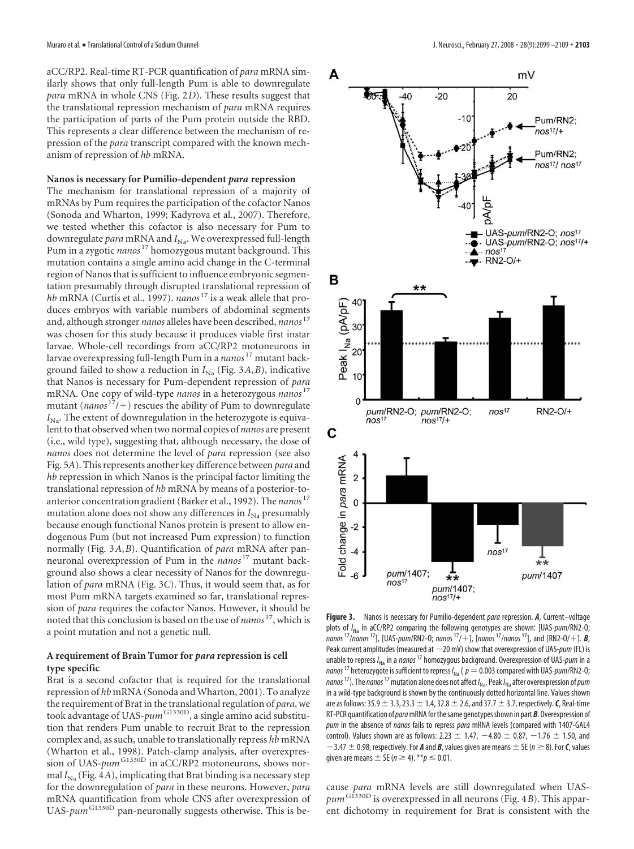aCC/RP2. Real-time RT-PCR quantification of *para* mRNA similarly shows that only full-length Pum is able to downregulate *para* mRNA in whole CNS (Fig. 2*D*). These results suggest that the translational repression mechanism of *para* mRNA requires the participation of parts of the Pum protein outside the RBD. This represents a clear difference between the mechanism of repression of the *para* transcript compared with the known mechanism of repression of *hb* mRNA.

### **Nanos is necessary for Pumilio-dependent** *para* **repression**

The mechanism for translational repression of a majority of mRNAs by Pum requires the participation of the cofactor Nanos (Sonoda and Wharton, 1999; Kadyrova et al., 2007). Therefore, we tested whether this cofactor is also necessary for Pum to downregulate para mRNA and *I<sub>Na</sub>*. We overexpressed full-length Pum in a zygotic *nanos* <sup>17</sup> homozygous mutant background. This mutation contains a single amino acid change in the C-terminal region of Nanos that is sufficient to influence embryonic segmentation presumably through disrupted translational repression of *hb* mRNA (Curtis et al., 1997). *nanos*<sup>17</sup> is a weak allele that produces embryos with variable numbers of abdominal segments and, although stronger *nanos* alleles have been described, *nanos* <sup>17</sup> was chosen for this study because it produces viable first instar larvae. Whole-cell recordings from aCC/RP2 motoneurons in larvae overexpressing full-length Pum in a *nanos*<sup>17</sup> mutant background failed to show a reduction in  $I_{\text{Na}}$  (Fig. 3A, B), indicative that Nanos is necessary for Pum-dependent repression of *para* mRNA. One copy of wild-type *nanos* in a heterozygous *nanos* <sup>17</sup> mutant ( $nanos<sup>17</sup>/+)$  rescues the ability of Pum to downregulate  $I_{\text{Na}}$ . The extent of downregulation in the heterozygote is equivalent to that observed when two normal copies of *nanos* are present (i.e., wild type), suggesting that, although necessary, the dose of *nanos* does not determine the level of *para* repression (see also Fig. 5*A*). This represents another key difference between *para* and *hb* repression in which Nanos is the principal factor limiting the translational repression of *hb* mRNA by means of a posterior-toanterior concentration gradient (Barker et al., 1992). The *nanos* <sup>17</sup> mutation alone does not show any differences in  $I_{\text{Na}}$  presumably because enough functional Nanos protein is present to allow endogenous Pum (but not increased Pum expression) to function normally (Fig. 3*A*,*B*). Quantification of *para* mRNA after panneuronal overexpression of Pum in the *nanos* <sup>17</sup> mutant background also shows a clear necessity of Nanos for the downregulation of *para* mRNA (Fig. 3*C*). Thus, it would seem that, as for most Pum mRNA targets examined so far, translational repression of *para* requires the cofactor Nanos. However, it should be noted that this conclusion is based on the use of *nanos* 17, which is a point mutation and not a genetic null.

## **A requirement of Brain Tumor for** *para* **repression is cell type specific**

Brat is a second cofactor that is required for the translational repression of *hb* mRNA (Sonoda and Wharton, 2001). To analyze the requirement of Brat in the translational regulation of *para*, we took advantage of UAS-*pum*<sup>G1330D</sup>, a single amino acid substitution that renders Pum unable to recruit Brat to the repression complex and, as such, unable to translationally repress *hb* mRNA (Wharton et al., 1998). Patch-clamp analysis, after overexpression of UAS-*pum*<sup>G1330D</sup> in aCC/RP2 motoneurons, shows normal  $I_{\text{Na}}$  (Fig. 4*A*), implicating that Brat binding is a necessary step for the downregulation of *para* in these neurons. However, *para* mRNA quantification from whole CNS after overexpression of UAS- $\mu$ <sup>G1330D</sup> pan-neuronally suggests otherwise. This is be-



**Figure 3.** Nanos is necessary for Pumilio-dependent *para* repression. *A*, Current–voltage plots of *I* Na in aCC/RP2 comparing the following genotypes are shown: [UAS-*pum*/RN2-O;  $n$ anos<sup>17</sup>/*nanos*<sup>17</sup>], [UAS-pum/RN2-0; *nanos*<sup>17</sup>/+], [*nanos*<sup>17</sup>/*nanos*<sup>17</sup>], and [RN2-0/+]. *B*, Peak current amplitudes (measured at 20 mV) show that overexpression of UAS-*pum* (FL) is unable to repress *I* Na in a*nanos*<sup>17</sup> homozygous background. Overexpression of UAS-*pum* in a *nanos*<sup>17</sup> heterozygote is sufficient to repress  $I_{\text{Na}}$  (  $p = 0.003$  compared with UAS-*pum*/RN2-0; *nanos*17). The*nanos*17mutation alone does not affect *I* Na. Peak*I* Naafter overexpression of*pum* in a wild-type background is shown by the continuously dotted horizontal line. Values shown are as follows: 35.9  $\pm$  3.3, 23.3  $\pm$  1.4, 32.8  $\pm$  2.6, and 37.7  $\pm$  3.7, respectively. **C**, Real-time RT-PCR quantification of*para*mRNA forthesame genotypesshown in part*B*. Overexpression of *pum* in the absence of *nanos* fails to repress *para* mRNA levels (compared with 1407-GAL4 control). Values shown are as follows: 2.23  $\pm$  1.47,  $-$ 4.80  $\pm$  0.87,  $-$ 1.76  $\pm$  1.50, and  $-3.47 \pm 0.98$ , respectively. For *A* and *B*, values given are means  $\pm$  SE ( $n \ge 8$ ). For *C*, values given are means  $\pm$  SE ( $n \geq 4$ ).  $^{**}p \leq 0.01$ .

cause *para* mRNA levels are still downregulated when UAS*pum*G1330D is overexpressed in all neurons (Fig. 4*B*). This apparent dichotomy in requirement for Brat is consistent with the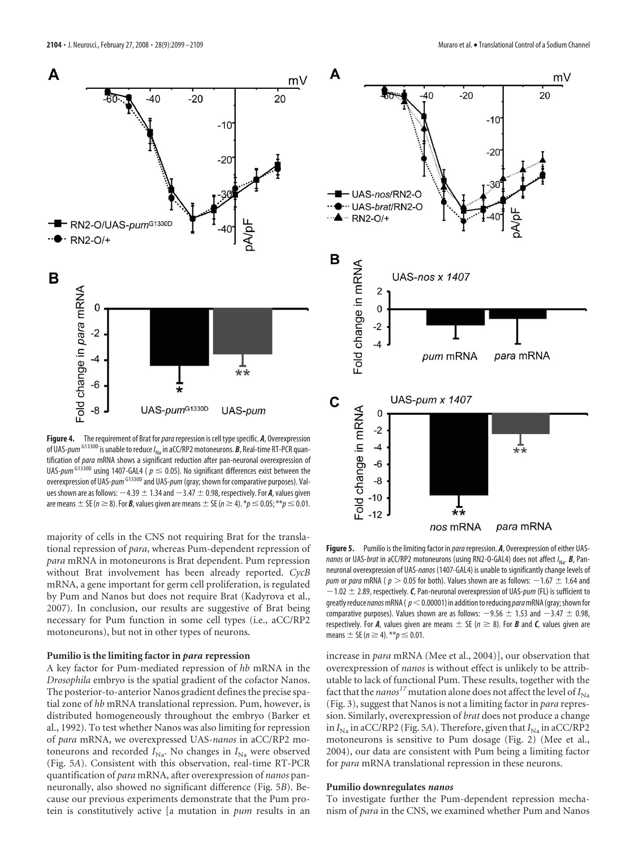

**Figure 4.** The requirement of Brat for *para* repression is cell type specific. **A**, Overexpression of UAS*-pum* <sup>G1330D</sup> is unable to reduce /<sub>Na</sub> in aCC/RP2 motoneurons. *B*, Real-time RT-PCR quantification of *para* mRNA shows a significant reduction after pan-neuronal overexpression of UAS-*pum*<sup>G1330D</sup> using 1407-GAL4 ( $p \le 0.05$ ). No significant differences exist between the overexpression of UAS-*pum*<sup>G1330D</sup> and UAS-*pum* (gray; shown for comparative purposes). Values shown are as follows:  $-4.39 \pm 1.34$  and  $-3.47 \pm 0.98$ , respectively. For *A*, values given are means  $\pm$  SE ( $n\geq8$ ). For **B**, values given are means  $\pm$  SE ( $n\geq4$ ).  $^*\!p\leq0.05; ^{**}\!p\leq0.01.$ 

majority of cells in the CNS not requiring Brat for the translational repression of *para*, whereas Pum-dependent repression of *para* mRNA in motoneurons is Brat dependent. Pum repression without Brat involvement has been already reported. *CycB* mRNA, a gene important for germ cell proliferation, is regulated by Pum and Nanos but does not require Brat (Kadyrova et al., 2007). In conclusion, our results are suggestive of Brat being necessary for Pum function in some cell types (i.e., aCC/RP2 motoneurons), but not in other types of neurons.

#### **Pumilio is the limiting factor in** *para* **repression**

A key factor for Pum-mediated repression of *hb* mRNA in the *Drosophila* embryo is the spatial gradient of the cofactor Nanos. The posterior-to-anterior Nanos gradient defines the precise spatial zone of *hb* mRNA translational repression. Pum, however, is distributed homogeneously throughout the embryo (Barker et al., 1992). To test whether Nanos was also limiting for repression of *para* mRNA, we overexpressed UAS-*nanos* in aCC/RP2 motoneurons and recorded  $I_{\text{Na}}$ . No changes in  $I_{\text{Na}}$  were observed (Fig. 5*A*). Consistent with this observation, real-time RT-PCR quantification of *para* mRNA, after overexpression of *nanos* panneuronally, also showed no significant difference (Fig. 5*B*). Because our previous experiments demonstrate that the Pum protein is constitutively active [a mutation in *pum* results in an



**Figure 5.** Pumilio is the limiting factor in *para*repression. *A*, Overexpression of either UAS*nanos* or UAS-*brat* in aCC/RP2 motoneurons (using RN2-O-GAL4) does not affect *I* Na. *B*, Panneuronal overexpression of UAS-*nanos* (1407-GAL4) is unable to significantly change levels of *pum* or *para* mRNA (  $p >$  0.05 for both). Values shown are as follows:  $-1.67~\pm~1.64$  and 1.02 2.89, respectively.*C*, Pan-neuronal overexpression of UAS-*pum* (FL) is sufficient to greatlyreduce*nanos*mRNA( *p*0.00001) in additiontoreducing*para*mRNA(gray;shownfor comparative purposes). Values shown are as follows:  $-9.56\,\pm\,1.53$  and  $-3.47\,\pm\,0.98,$ respectively. For *A*, values given are means  $\pm$  SE ( $n \geq 8$ ). For *B* and *C*, values given are  $means \pm SE (n \ge 4). **p \le 0.01.$ 

increase in *para* mRNA (Mee et al., 2004)], our observation that overexpression of *nanos* is without effect is unlikely to be attributable to lack of functional Pum. These results, together with the fact that the *nanos*<sup>17</sup> mutation alone does not affect the level of  $I_{\text{Na}}$ (Fig. 3), suggest that Nanos is not a limiting factor in *para* repression. Similarly, overexpression of *brat* does not produce a change in  $I_{\text{Na}}$  in aCC/RP2 (Fig. 5A). Therefore, given that  $I_{\text{Na}}$  in aCC/RP2 motoneurons is sensitive to Pum dosage (Fig. 2) (Mee et al., 2004), our data are consistent with Pum being a limiting factor for *para* mRNA translational repression in these neurons.

#### **Pumilio downregulates** *nanos*

To investigate further the Pum-dependent repression mechanism of *para* in the CNS, we examined whether Pum and Nanos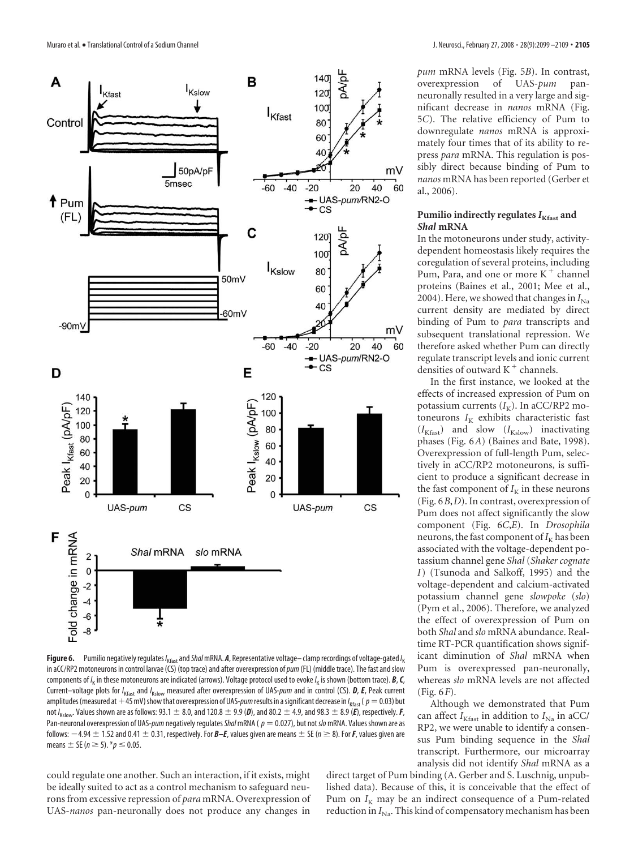

**Figure 6.** Pumilio negatively regulates /<sub>Kfast</sub> and *Shal* mRNA. *A,* **Representative voltage– clamp recordings of voltage-gated /<sub>K</sub>** in aCC/RP2 motoneurons in control larvae (CS) (top trace) and after overexpression of*pum* (FL) (middle trace). The fast and slow components of /<sub>K</sub> in these motoneurons are indicated (arrows). Voltage protocol used to evoke /<sub>K</sub> is shown (bottom trace). *B, C,* Current–voltage plots for /<sub>Kfast</sub> and /<sub>Kslow</sub> measured after overexpression of UAS-*pum* and in control (CS). *D, E,* Peak current amplitudes (measured at +45 mV) show that overexpression of UAS*-pum* results in a significant decrease in /<sub>Kfast</sub> (  $p=$  0.03) but not /<sub>Kslow</sub>. Values shown are as follows: 93.1  $\pm$  8.0, and 120.8  $\pm$  9.9 (**D**), and 80.2  $\pm$  4.9, and 98.3  $\pm$  8.9 (**E**), respectively. **F**, Pan-neuronal overexpression of UAS-*pum* negatively regulates ShalmRNA ( $p = 0.027$ ), but not slomRNA. Values shown are as follows:  $-4.94\pm1.52$  and 0.41  $\pm$  0.31, respectively. For *B–E,* values given are means  $\pm$  SE ( $n\geq 8$ ). For **F**, values given are means  $\pm$  SE ( $n \ge 5$ ).  $*$  $p \le 0.05$ .

could regulate one another. Such an interaction, if it exists, might be ideally suited to act as a control mechanism to safeguard neurons from excessive repression of *para* mRNA. Overexpression of UAS-*nanos* pan-neuronally does not produce any changes in

*pum* mRNA levels (Fig. 5*B*). In contrast, overexpression of UAS-*pum* panneuronally resulted in a very large and significant decrease in *nanos* mRNA (Fig. 5*C*). The relative efficiency of Pum to downregulate *nanos* mRNA is approximately four times that of its ability to repress *para* mRNA. This regulation is possibly direct because binding of Pum to *nanos* mRNA has been reported (Gerber et al., 2006).

#### Pumilio indirectly regulates  $I_{K\text{fast}}$  and *Shal* **mRNA**

In the motoneurons under study, activitydependent homeostasis likely requires the coregulation of several proteins, including Pum, Para, and one or more  $K^+$  channel proteins (Baines et al., 2001; Mee et al., 2004). Here, we showed that changes in  $I_{\text{Na}}$ current density are mediated by direct binding of Pum to *para* transcripts and subsequent translational repression. We therefore asked whether Pum can directly regulate transcript levels and ionic current densities of outward  $K^+$  channels.

In the first instance, we looked at the effects of increased expression of Pum on potassium currents ( $I_K$ ). In aCC/RP2 motoneurons  $I_K$  exhibits characteristic fast  $(I_{\rm Kfast})$  and slow  $(I_{\rm Kslow})$  inactivating phases (Fig. 6*A*) (Baines and Bate, 1998). Overexpression of full-length Pum, selectively in aCC/RP2 motoneurons, is sufficient to produce a significant decrease in the fast component of  $I_K$  in these neurons (Fig. 6*B*,*D*). In contrast, overexpression of Pum does not affect significantly the slow component (Fig. 6*C*,*E*). In *Drosophila* neurons, the fast component of  $I_K$  has been associated with the voltage-dependent potassium channel gene *Shal* (*Shaker cognate I*) (Tsunoda and Salkoff, 1995) and the voltage-dependent and calcium-activated potassium channel gene *slowpoke* (*slo*) (Pym et al., 2006). Therefore, we analyzed the effect of overexpression of Pum on both *Shal* and *slo* mRNA abundance. Realtime RT-PCR quantification shows significant diminution of *Shal* mRNA when Pum is overexpressed pan-neuronally, whereas *slo* mRNA levels are not affected (Fig. 6*F*).

Although we demonstrated that Pum can affect  $I_{K\text{fast}}$  in addition to  $I_{\text{Na}}$  in aCC/ RP2, we were unable to identify a consensus Pum binding sequence in the *Shal* transcript. Furthermore, our microarray analysis did not identify *Shal* mRNA as a

direct target of Pum binding (A. Gerber and S. Luschnig, unpublished data). Because of this, it is conceivable that the effect of Pum on  $I_K$  may be an indirect consequence of a Pum-related reduction in *I*<sub>Na</sub>. This kind of compensatory mechanism has been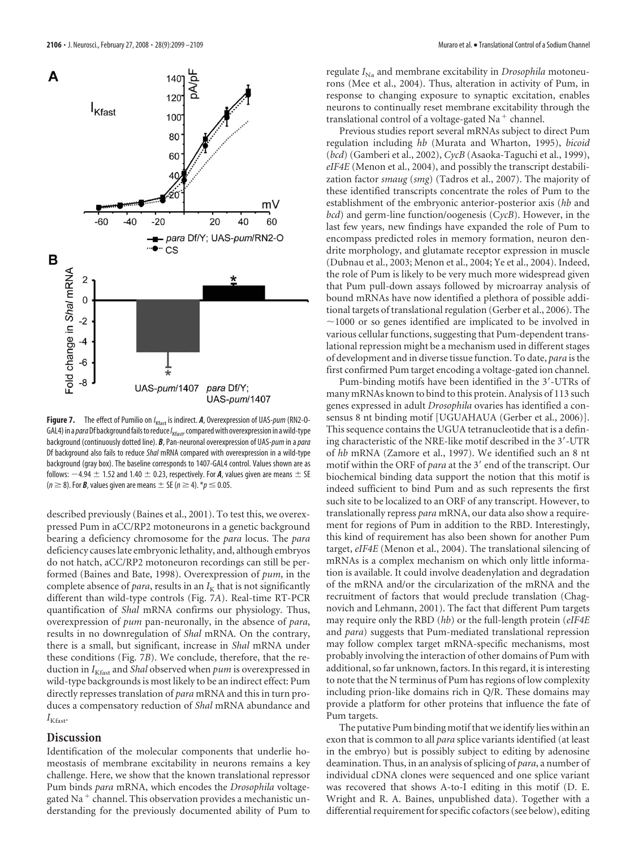

**Figure 7.** The effect of Pumilio on *I* Kfast is indirect. *A*, Overexpression of UAS-*pum* (RN2-O-GAL4) in a*para*Df backgroundfailstoreduce*I* Kfast, comparedwith overexpression in awild-type background (continuously dotted line). *B*, Pan-neuronal overexpression of UAS-*pum* in a*para* Df background also fails to reduce *Shal* mRNA compared with overexpression in a wild-type background (gray box). The baseline corresponds to 1407-GAL4 control. Values shown are as follows:  $-4.94\pm$  1.52 and 1.40  $\pm$  0.23, respectively. For **A**, values given are means  $\pm$  SE  $(n \ge 8)$ . For *B*, values given are means  $\pm$  SE ( $n \ge 4$ ).  $*$   $p \le 0.05$ .

described previously (Baines et al., 2001). To test this, we overexpressed Pum in aCC/RP2 motoneurons in a genetic background bearing a deficiency chromosome for the *para* locus. The *para* deficiency causes late embryonic lethality, and, although embryos do not hatch, aCC/RP2 motoneuron recordings can still be performed (Baines and Bate, 1998). Overexpression of *pum*, in the complete absence of *para*, results in an  $I_K$  that is not significantly different than wild-type controls (Fig. 7*A*). Real-time RT-PCR quantification of *Shal* mRNA confirms our physiology. Thus, overexpression of *pum* pan-neuronally, in the absence of *para*, results in no downregulation of *Shal* mRNA. On the contrary, there is a small, but significant, increase in *Shal* mRNA under these conditions (Fig. 7*B*). We conclude, therefore, that the reduction in *I<sub>Kfast</sub>* and *Shal* observed when *pum* is overexpressed in wild-type backgrounds is most likely to be an indirect effect: Pum directly represses translation of *para* mRNA and this in turn produces a compensatory reduction of *Shal* mRNA abundance and  $I_{K\text{fast}}$ 

#### **Discussion**

Identification of the molecular components that underlie homeostasis of membrane excitability in neurons remains a key challenge. Here, we show that the known translational repressor Pum binds *para* mRNA, which encodes the *Drosophila* voltagegated Na<sup>+</sup> channel. This observation provides a mechanistic understanding for the previously documented ability of Pum to regulate  $I_{N_a}$  and membrane excitability in *Drosophila* motoneurons (Mee et al., 2004). Thus, alteration in activity of Pum, in response to changing exposure to synaptic excitation, enables neurons to continually reset membrane excitability through the translational control of a voltage-gated Na $^+$  channel.

Previous studies report several mRNAs subject to direct Pum regulation including *hb* (Murata and Wharton, 1995), *bicoid* (*bcd*) (Gamberi et al., 2002), *CycB* (Asaoka-Taguchi et al., 1999), *eIF4E* (Menon et al., 2004), and possibly the transcript destabilization factor *smaug* (*smg*) (Tadros et al., 2007). The majority of these identified transcripts concentrate the roles of Pum to the establishment of the embryonic anterior-posterior axis (*hb* and *bcd*) and germ-line function/oogenesis (C*ycB*). However, in the last few years, new findings have expanded the role of Pum to encompass predicted roles in memory formation, neuron dendrite morphology, and glutamate receptor expression in muscle (Dubnau et al., 2003; Menon et al., 2004; Ye et al., 2004). Indeed, the role of Pum is likely to be very much more widespread given that Pum pull-down assays followed by microarray analysis of bound mRNAs have now identified a plethora of possible additional targets of translational regulation (Gerber et al., 2006). The  $\sim$ 1000 or so genes identified are implicated to be involved in various cellular functions, suggesting that Pum-dependent translational repression might be a mechanism used in different stages of development and in diverse tissue function. To date, *para* is the first confirmed Pum target encoding a voltage-gated ion channel.

Pum-binding motifs have been identified in the 3'-UTRs of many mRNAs known to bind to this protein. Analysis of 113 such genes expressed in adult *Drosophila* ovaries has identified a consensus 8 nt binding motif [UGUAHAUA (Gerber et al., 2006)]. This sequence contains the UGUA tetranucleotide that is a defining characteristic of the NRE-like motif described in the 3'-UTR of *hb* mRNA (Zamore et al., 1997). We identified such an 8 nt motif within the ORF of *para* at the 3' end of the transcript. Our biochemical binding data support the notion that this motif is indeed sufficient to bind Pum and as such represents the first such site to be localized to an ORF of any transcript. However, to translationally repress *para* mRNA, our data also show a requirement for regions of Pum in addition to the RBD. Interestingly, this kind of requirement has also been shown for another Pum target, *eIF4E* (Menon et al., 2004). The translational silencing of mRNAs is a complex mechanism on which only little information is available. It could involve deadenylation and degradation of the mRNA and/or the circularization of the mRNA and the recruitment of factors that would preclude translation (Chagnovich and Lehmann, 2001). The fact that different Pum targets may require only the RBD (*hb*) or the full-length protein (*eIF4E* and *para*) suggests that Pum-mediated translational repression may follow complex target mRNA-specific mechanisms, most probably involving the interaction of other domains of Pum with additional, so far unknown, factors. In this regard, it is interesting to note that the N terminus of Pum has regions of low complexity including prion-like domains rich in Q/R. These domains may provide a platform for other proteins that influence the fate of Pum targets.

The putative Pum binding motif that we identify lies within an exon that is common to all *para* splice variants identified (at least in the embryo) but is possibly subject to editing by adenosine deamination. Thus, in an analysis of splicing of *para*, a number of individual cDNA clones were sequenced and one splice variant was recovered that shows A-to-I editing in this motif (D. E. Wright and R. A. Baines, unpublished data). Together with a differential requirement for specific cofactors (see below), editing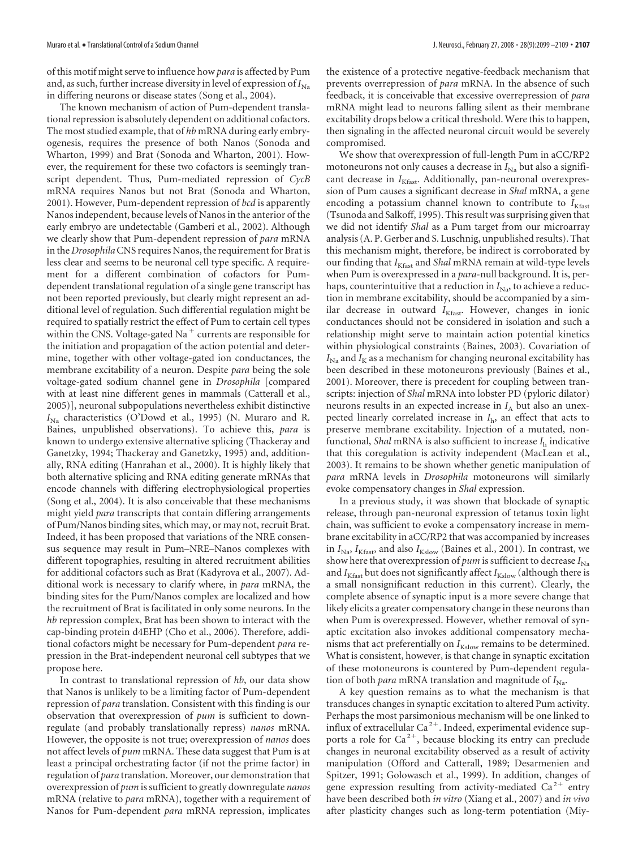of this motif might serve to influence how*para* is affected by Pum and, as such, further increase diversity in level of expression of  $I_{\text{N}_2}$ in differing neurons or disease states (Song et al., 2004).

The known mechanism of action of Pum-dependent translational repression is absolutely dependent on additional cofactors. The most studied example, that of *hb* mRNA during early embryogenesis, requires the presence of both Nanos (Sonoda and Wharton, 1999) and Brat (Sonoda and Wharton, 2001). However, the requirement for these two cofactors is seemingly transcript dependent. Thus, Pum-mediated repression of *CycB* mRNA requires Nanos but not Brat (Sonoda and Wharton, 2001). However, Pum-dependent repression of *bcd* is apparently Nanos independent, because levels of Nanos in the anterior of the early embryo are undetectable (Gamberi et al., 2002). Although we clearly show that Pum-dependent repression of *para* mRNA in the *Drosophila*CNS requires Nanos, the requirement for Brat is less clear and seems to be neuronal cell type specific. A requirement for a different combination of cofactors for Pumdependent translational regulation of a single gene transcript has not been reported previously, but clearly might represent an additional level of regulation. Such differential regulation might be required to spatially restrict the effect of Pum to certain cell types within the CNS. Voltage-gated Na<sup>+</sup> currents are responsible for the initiation and propagation of the action potential and determine, together with other voltage-gated ion conductances, the membrane excitability of a neuron. Despite *para* being the sole voltage-gated sodium channel gene in *Drosophila* [compared with at least nine different genes in mammals (Catterall et al., 2005)], neuronal subpopulations nevertheless exhibit distinctive *I*<sub>Na</sub> characteristics (O'Dowd et al., 1995) (N. Muraro and R. Baines, unpublished observations). To achieve this, *para* is known to undergo extensive alternative splicing (Thackeray and Ganetzky, 1994; Thackeray and Ganetzky, 1995) and, additionally, RNA editing (Hanrahan et al., 2000). It is highly likely that both alternative splicing and RNA editing generate mRNAs that encode channels with differing electrophysiological properties (Song et al., 2004). It is also conceivable that these mechanisms might yield *para* transcripts that contain differing arrangements of Pum/Nanos binding sites, which may, or may not, recruit Brat. Indeed, it has been proposed that variations of the NRE consensus sequence may result in Pum–NRE–Nanos complexes with different topographies, resulting in altered recruitment abilities for additional cofactors such as Brat (Kadyrova et al., 2007). Additional work is necessary to clarify where, in *para* mRNA, the binding sites for the Pum/Nanos complex are localized and how the recruitment of Brat is facilitated in only some neurons. In the *hb* repression complex, Brat has been shown to interact with the cap-binding protein d4EHP (Cho et al., 2006). Therefore, additional cofactors might be necessary for Pum-dependent *para* repression in the Brat-independent neuronal cell subtypes that we propose here.

In contrast to translational repression of *hb*, our data show that Nanos is unlikely to be a limiting factor of Pum-dependent repression of *para* translation. Consistent with this finding is our observation that overexpression of *pum* is sufficient to downregulate (and probably translationally repress) *nanos* mRNA. However, the opposite is not true; overexpression of *nanos* does not affect levels of *pum* mRNA. These data suggest that Pum is at least a principal orchestrating factor (if not the prime factor) in regulation of *para* translation. Moreover, our demonstration that overexpression of *pum* is sufficient to greatly downregulate *nanos* mRNA (relative to *para* mRNA), together with a requirement of Nanos for Pum-dependent *para* mRNA repression, implicates

the existence of a protective negative-feedback mechanism that prevents overrepression of *para* mRNA. In the absence of such feedback, it is conceivable that excessive overrepression of *para* mRNA might lead to neurons falling silent as their membrane excitability drops below a critical threshold. Were this to happen, then signaling in the affected neuronal circuit would be severely compromised.

We show that overexpression of full-length Pum in aCC/RP2 motoneurons not only causes a decrease in  $I_{\text{Na}}$  but also a significant decrease in *I<sub>Kfast</sub>*. Additionally, pan-neuronal overexpression of Pum causes a significant decrease in *Shal* mRNA, a gene encoding a potassium channel known to contribute to  $I_{K\text{fast}}$ (Tsunoda and Salkoff, 1995). This result was surprising given that we did not identify *Shal* as a Pum target from our microarray analysis (A. P. Gerber and S. Luschnig, unpublished results). That this mechanism might, therefore, be indirect is corroborated by our finding that  $I_{K\text{fast}}$  and *Shal* mRNA remain at wild-type levels when Pum is overexpressed in a *para*-null background. It is, perhaps, counterintuitive that a reduction in  $I_{\text{Na}}$ , to achieve a reduction in membrane excitability, should be accompanied by a similar decrease in outward *I*<sub>Kfast</sub>. However, changes in ionic conductances should not be considered in isolation and such a relationship might serve to maintain action potential kinetics within physiological constraints (Baines, 2003). Covariation of  $I_{\text{Na}}$  and  $I_{\text{K}}$  as a mechanism for changing neuronal excitability has been described in these motoneurons previously (Baines et al., 2001). Moreover, there is precedent for coupling between transcripts: injection of *Shal* mRNA into lobster PD (pyloric dilator) neurons results in an expected increase in  $I_A$  but also an unexpected linearly correlated increase in *I*h, an effect that acts to preserve membrane excitability. Injection of a mutated, nonfunctional, *Shal* mRNA is also sufficient to increase *I*<sup>h</sup> indicative that this coregulation is activity independent (MacLean et al., 2003). It remains to be shown whether genetic manipulation of *para* mRNA levels in *Drosophila* motoneurons will similarly evoke compensatory changes in *Shal* expression.

In a previous study, it was shown that blockade of synaptic release, through pan-neuronal expression of tetanus toxin light chain, was sufficient to evoke a compensatory increase in membrane excitability in aCC/RP2 that was accompanied by increases in  $I_{\text{Na}}$ ,  $I_{\text{Kfast}}$ , and also  $I_{\text{Kslow}}$  (Baines et al., 2001). In contrast, we show here that overexpression of  $pum$  is sufficient to decrease  $I_{\text{Na}}$ and  $I_{K\text{fast}}$  but does not significantly affect  $I_{K\text{slow}}$  (although there is a small nonsignificant reduction in this current). Clearly, the complete absence of synaptic input is a more severe change that likely elicits a greater compensatory change in these neurons than when Pum is overexpressed. However, whether removal of synaptic excitation also invokes additional compensatory mechanisms that act preferentially on  $I_{Kslow}$  remains to be determined. What is consistent, however, is that change in synaptic excitation of these motoneurons is countered by Pum-dependent regulation of both *para* mRNA translation and magnitude of  $I_{\text{Na}}$ .

A key question remains as to what the mechanism is that transduces changes in synaptic excitation to altered Pum activity. Perhaps the most parsimonious mechanism will be one linked to influx of extracellular  $Ca^{2+}$ . Indeed, experimental evidence supports a role for  $Ca^{2+}$ , because blocking its entry can preclude changes in neuronal excitability observed as a result of activity manipulation (Offord and Catterall, 1989; Desarmenien and Spitzer, 1991; Golowasch et al., 1999). In addition, changes of gene expression resulting from activity-mediated  $Ca^{2+}$  entry have been described both *in vitro* (Xiang et al., 2007) and *in vivo* after plasticity changes such as long-term potentiation (Miy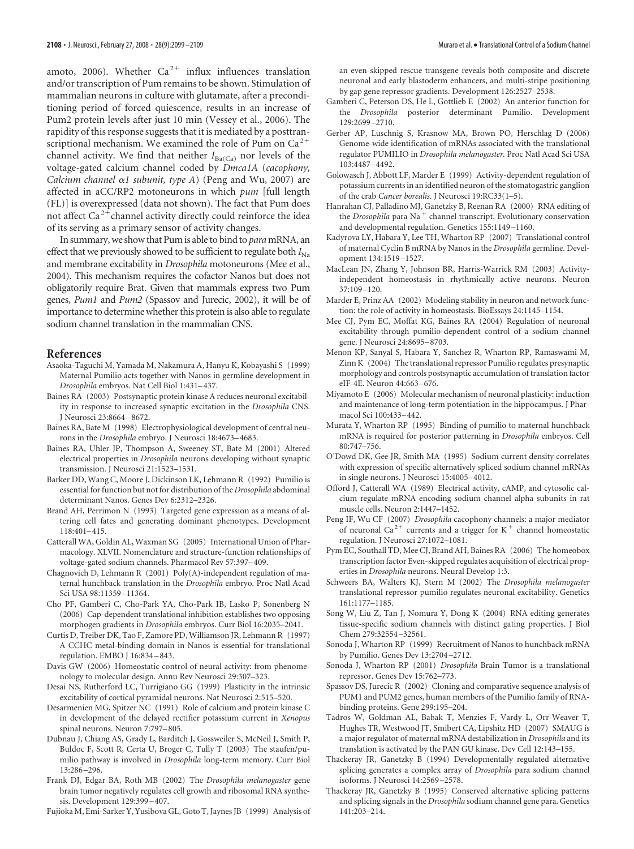amoto, 2006). Whether  $Ca^{2+}$  influx influences translation and/or transcription of Pum remains to be shown. Stimulation of mammalian neurons in culture with glutamate, after a preconditioning period of forced quiescence, results in an increase of Pum2 protein levels after just 10 min (Vessey et al., 2006). The rapidity of this response suggests that it is mediated by a posttranscriptional mechanism. We examined the role of Pum on  $Ca^{2+}$ channel activity. We find that neither  $I_{Ba(Ca)}$  nor levels of the voltage-gated calcium channel coded by *Dmca1A* (*cacophony, Calcium channel*  $\alpha$ *1 subunit, type A*) (Peng and Wu, 2007) are affected in aCC/RP2 motoneurons in which *pum* [full length (FL)] is overexpressed (data not shown). The fact that Pum does not affect  $Ca^{2+}$ channel activity directly could reinforce the idea of its serving as a primary sensor of activity changes.

In summary, we show that Pum is able to bind to *para* mRNA, an effect that we previously showed to be sufficient to regulate both  $I_{N_a}$ and membrane excitability in *Drosophila* motoneurons (Mee et al., 2004). This mechanism requires the cofactor Nanos but does not obligatorily require Brat. Given that mammals express two Pum genes, *Pum1* and *Pum2* (Spassov and Jurecic, 2002), it will be of importance to determine whether this protein is also able to regulate sodium channel translation in the mammalian CNS.

## **References**

- Asaoka-Taguchi M, Yamada M, Nakamura A, Hanyu K, Kobayashi S (1999) Maternal Pumilio acts together with Nanos in germline development in *Drosophila* embryos. Nat Cell Biol 1:431–437.
- Baines RA (2003) Postsynaptic protein kinase A reduces neuronal excitability in response to increased synaptic excitation in the *Drosophila* CNS. J Neurosci 23:8664 –8672.
- Baines RA, Bate M (1998) Electrophysiological development of central neurons in the *Drosophila* embryo. J Neurosci 18:4673–4683.
- Baines RA, Uhler JP, Thompson A, Sweeney ST, Bate M (2001) Altered electrical properties in *Drosophila* neurons developing without synaptic transmission. J Neurosci 21:1523–1531.
- Barker DD, Wang C, Moore J, Dickinson LK, Lehmann R (1992) Pumilio is essential for function but not for distribution of the *Drosophila* abdominal determinant Nanos. Genes Dev 6:2312–2326.
- Brand AH, Perrimon N (1993) Targeted gene expression as a means of altering cell fates and generating dominant phenotypes. Development 118:401–415.
- Catterall WA, Goldin AL, Waxman SG (2005) International Union of Pharmacology. XLVII. Nomenclature and structure-function relationships of voltage-gated sodium channels. Pharmacol Rev 57:397–409.
- Chagnovich D, Lehmann R (2001) Poly(A)-independent regulation of maternal hunchback translation in the *Drosophila* embryo. Proc Natl Acad Sci USA 98:11359 –11364.
- Cho PF, Gamberi C, Cho-Park YA, Cho-Park IB, Lasko P, Sonenberg N (2006) Cap-dependent translational inhibition establishes two opposing morphogen gradients in *Drosophila* embryos. Curr Biol 16:2035–2041.
- Curtis D, Treiber DK, Tao F, Zamore PD, Williamson JR, Lehmann R (1997) A CCHC metal-binding domain in Nanos is essential for translational regulation. EMBO J 16:834 –843.
- Davis GW (2006) Homeostatic control of neural activity: from phenomenology to molecular design. Annu Rev Neurosci 29:307–323.
- Desai NS, Rutherford LC, Turrigiano GG (1999) Plasticity in the intrinsic excitability of cortical pyramidal neurons. Nat Neurosci 2:515–520.
- Desarmenien MG, Spitzer NC (1991) Role of calcium and protein kinase C in development of the delayed rectifier potassium current in *Xenopus* spinal neurons. Neuron 7:797–805.
- Dubnau J, Chiang AS, Grady L, Barditch J, Gossweiler S, McNeil J, Smith P, Buldoc F, Scott R, Certa U, Broger C, Tully T (2003) The staufen/pumilio pathway is involved in *Drosophila* long-term memory. Curr Biol 13:286 –296.
- Frank DJ, Edgar BA, Roth MB (2002) The *Drosophila melanogaster* gene brain tumor negatively regulates cell growth and ribosomal RNA synthesis. Development 129:399 –407.
- Fujioka M, Emi-Sarker Y, Yusibova GL, Goto T, Jaynes JB (1999) Analysis of

an even-skipped rescue transgene reveals both composite and discrete neuronal and early blastoderm enhancers, and multi-stripe positioning by gap gene repressor gradients. Development 126:2527–2538.

- Gamberi C, Peterson DS, He L, Gottlieb E (2002) An anterior function for the *Drosophila* posterior determinant Pumilio. Development 129:2699 –2710.
- Gerber AP, Luschnig S, Krasnow MA, Brown PO, Herschlag D (2006) Genome-wide identification of mRNAs associated with the translational regulator PUMILIO in *Drosophila melanogaster*. Proc Natl Acad Sci USA 103:4487–4492.
- Golowasch J, Abbott LF, Marder E (1999) Activity-dependent regulation of potassium currents in an identified neuron of the stomatogastric ganglion of the crab *Cancer borealis*. J Neurosci 19:RC33(1–5).
- Hanrahan CJ, Palladino MJ, Ganetzky B, Reenan RA (2000) RNA editing of the *Drosophila* para Na<sup>+</sup> channel transcript. Evolutionary conservation and developmental regulation. Genetics 155:1149 –1160.
- Kadyrova LY, Habara Y, Lee TH, Wharton RP (2007) Translational control of maternal Cyclin B mRNA by Nanos in the *Drosophila* germline. Development 134:1519 –1527.
- MacLean JN, Zhang Y, Johnson BR, Harris-Warrick RM (2003) Activityindependent homeostasis in rhythmically active neurons. Neuron 37:109 –120.
- Marder E, Prinz AA (2002) Modeling stability in neuron and network function: the role of activity in homeostasis. BioEssays 24:1145–1154.
- Mee CJ, Pym EC, Moffat KG, Baines RA (2004) Regulation of neuronal excitability through pumilio-dependent control of a sodium channel gene. J Neurosci 24:8695–8703.
- Menon KP, Sanyal S, Habara Y, Sanchez R, Wharton RP, Ramaswami M, Zinn K (2004) The translational repressor Pumilio regulates presynaptic morphology and controls postsynaptic accumulation of translation factor eIF-4E. Neuron 44:663–676.
- Miyamoto E (2006) Molecular mechanism of neuronal plasticity: induction and maintenance of long-term potentiation in the hippocampus. J Pharmacol Sci 100:433–442.
- Murata Y, Wharton RP (1995) Binding of pumilio to maternal hunchback mRNA is required for posterior patterning in *Drosophila* embryos. Cell 80:747–756.
- O'Dowd DK, Gee JR, Smith MA (1995) Sodium current density correlates with expression of specific alternatively spliced sodium channel mRNAs in single neurons. J Neurosci 15:4005–4012.
- Offord J, Catterall WA (1989) Electrical activity, cAMP, and cytosolic calcium regulate mRNA encoding sodium channel alpha subunits in rat muscle cells. Neuron 2:1447–1452.
- Peng IF, Wu CF (2007) *Drosophila* cacophony channels: a major mediator of neuronal Ca<sup>2+</sup> currents and a trigger for K<sup>+</sup> channel homeostatic regulation. J Neurosci 27:1072–1081.
- Pym EC, Southall TD, Mee CJ, Brand AH, Baines RA (2006) The homeobox transcription factor Even-skipped regulates acquisition of electrical properties in *Drosophila* neurons. Neural Develop 1:3.
- Schweers BA, Walters KJ, Stern M (2002) The *Drosophila melanogaster* translational repressor pumilio regulates neuronal excitability. Genetics 161:1177–1185.
- Song W, Liu Z, Tan J, Nomura Y, Dong K (2004) RNA editing generates tissue-specific sodium channels with distinct gating properties. J Biol Chem 279:32554 –32561.
- Sonoda J, Wharton RP (1999) Recruitment of Nanos to hunchback mRNA by Pumilio. Genes Dev 13:2704 –2712.
- Sonoda J, Wharton RP (2001) *Drosophila* Brain Tumor is a translational repressor. Genes Dev 15:762–773.
- Spassov DS, Jurecic R (2002) Cloning and comparative sequence analysis of PUM1 and PUM2 genes, human members of the Pumilio family of RNAbinding proteins. Gene 299:195–204.
- Tadros W, Goldman AL, Babak T, Menzies F, Vardy L, Orr-Weaver T, Hughes TR, Westwood JT, Smibert CA, Lipshitz HD (2007) SMAUG is a major regulator of maternal mRNA destabilization in *Drosophila* and its translation is activated by the PAN GU kinase. Dev Cell 12:143–155.
- Thackeray JR, Ganetzky B (1994) Developmentally regulated alternative splicing generates a complex array of *Drosophila* para sodium channel isoforms. J Neurosci 14:2569 –2578.
- Thackeray JR, Ganetzky B (1995) Conserved alternative splicing patterns and splicing signals in the *Drosophila* sodium channel gene para. Genetics 141:203–214.